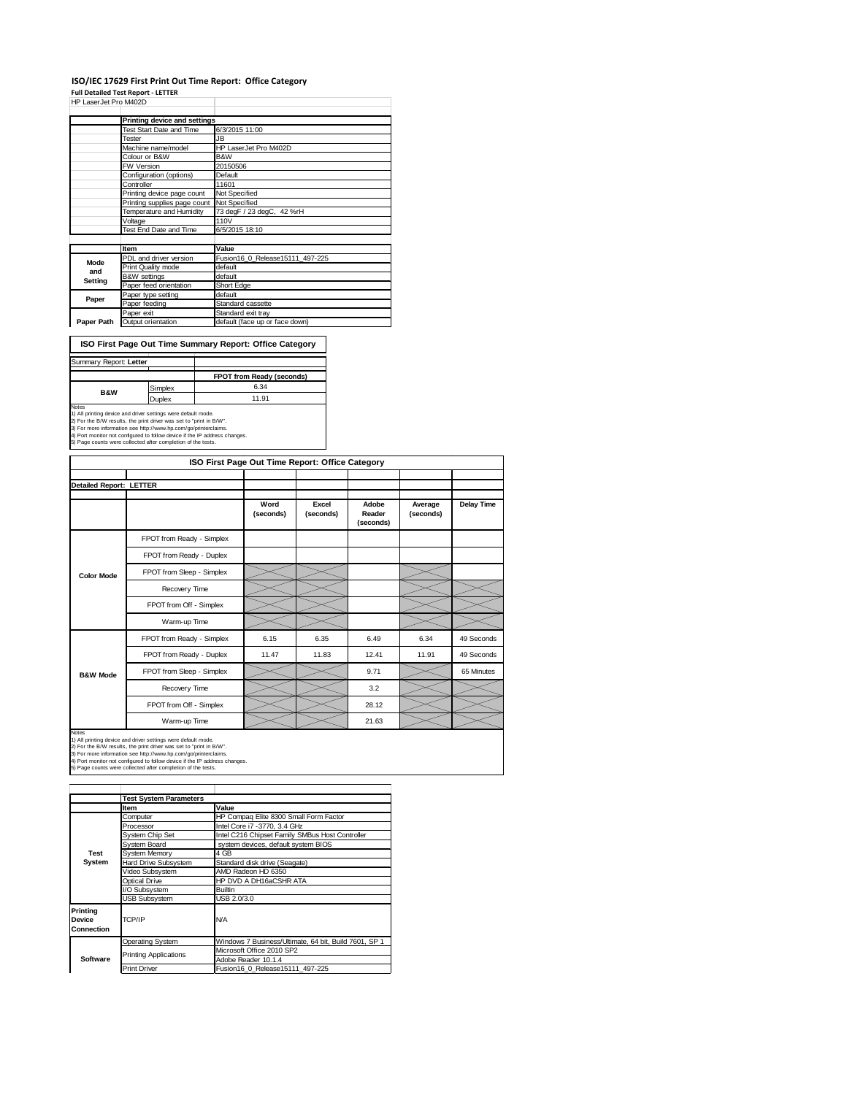## **ISO/IEC 17629 First Print Out Time Report: Office Category**

**Full Detailed Test Report ‐ LETTER** HP LaserJet Pro M402D

| FF LASSIJSI FIU WAUZU |                              |                                 |
|-----------------------|------------------------------|---------------------------------|
|                       |                              |                                 |
|                       | Printing device and settings |                                 |
|                       | Test Start Date and Time     | 6/3/2015 11:00                  |
|                       | <b>Tester</b>                | JB.                             |
|                       | Machine name/model           | HP LaserJet Pro M402D           |
|                       | Colour or B&W                | B&W                             |
|                       | <b>FW Version</b>            | 20150506                        |
|                       | Configuration (options)      | Default                         |
|                       | Controller                   | 11601                           |
|                       | Printing device page count   | Not Specified                   |
|                       | Printing supplies page count | Not Specified                   |
|                       | Temperature and Humidity     | 73 degF / 23 degC, 42 %rH       |
|                       | Voltage                      | 110V                            |
|                       | Test End Date and Time       | 6/5/2015 18:10                  |
|                       |                              |                                 |
|                       | Item                         | Value                           |
| Mode                  | PDL and driver version       | Fusion16 0 Release15111 497-225 |
| and                   | Print Quality mode           | default                         |
|                       | <b>B&amp;W</b> settings      | default                         |
| Setting               | Paper feed orientation       | Short Edge                      |
| Paper                 | Paper type setting           | default                         |
|                       | Paper feeding                | Standard cassette               |
|                       | Paper exit                   | Standard exit tray              |
| Paper Path            | Output orientation           | default (face up or face down)  |
|                       |                              |                                 |

**ISO First Page Out Time Summary Report: Office Category**

| Summary Report: Letter |         |                           |
|------------------------|---------|---------------------------|
|                        |         |                           |
|                        |         | FPOT from Ready (seconds) |
| <b>B&amp;W</b>         | Simplex | 6.34                      |
|                        | Duplex  | 11.91                     |
| Notes                  |         |                           |

Notes<br>1) All printing device and driver settings were default mode.<br>2) For the BAV results, the print driver was set to "print in BAW".<br>3) For more information see http://www.hp.com/go/printerclaims.<br>4) Port monitor not co

| ISO First Page Out Time Report: Office Category                                                                                                                                                                                                                                                                                                                |                           |                   |                    |                              |                      |                   |
|----------------------------------------------------------------------------------------------------------------------------------------------------------------------------------------------------------------------------------------------------------------------------------------------------------------------------------------------------------------|---------------------------|-------------------|--------------------|------------------------------|----------------------|-------------------|
| <b>Detailed Report: LETTER</b>                                                                                                                                                                                                                                                                                                                                 |                           |                   |                    |                              |                      |                   |
|                                                                                                                                                                                                                                                                                                                                                                |                           |                   |                    |                              |                      |                   |
|                                                                                                                                                                                                                                                                                                                                                                |                           | Word<br>(seconds) | Excel<br>(seconds) | Adobe<br>Reader<br>(seconds) | Average<br>(seconds) | <b>Delay Time</b> |
|                                                                                                                                                                                                                                                                                                                                                                | FPOT from Ready - Simplex |                   |                    |                              |                      |                   |
|                                                                                                                                                                                                                                                                                                                                                                | FPOT from Ready - Duplex  |                   |                    |                              |                      |                   |
| <b>Color Mode</b>                                                                                                                                                                                                                                                                                                                                              | FPOT from Sleep - Simplex |                   |                    |                              |                      |                   |
|                                                                                                                                                                                                                                                                                                                                                                | Recovery Time             |                   |                    |                              |                      |                   |
|                                                                                                                                                                                                                                                                                                                                                                | FPOT from Off - Simplex   |                   |                    |                              |                      |                   |
|                                                                                                                                                                                                                                                                                                                                                                | Warm-up Time              |                   |                    |                              |                      |                   |
| <b>B&amp;W Mode</b>                                                                                                                                                                                                                                                                                                                                            | FPOT from Ready - Simplex | 6.15              | 6.35               | 6.49                         | 6.34                 | 49 Seconds        |
|                                                                                                                                                                                                                                                                                                                                                                | FPOT from Ready - Duplex  | 11.47             | 11.83              | 12.41                        | 11.91                | 49 Seconds        |
|                                                                                                                                                                                                                                                                                                                                                                | FPOT from Sleep - Simplex |                   |                    | 9.71                         |                      | 65 Minutes        |
|                                                                                                                                                                                                                                                                                                                                                                | Recovery Time             |                   |                    | 3.2                          |                      |                   |
|                                                                                                                                                                                                                                                                                                                                                                | FPOT from Off - Simplex   |                   |                    | 28.12                        |                      |                   |
|                                                                                                                                                                                                                                                                                                                                                                | Warm-up Time              |                   |                    | 21.63                        |                      |                   |
| Notes<br>1) All printing device and driver settings were default mode.<br>2) For the B/W results, the print driver was set to "print in B/W".<br>3) For more information see http://www.hp.com/go/printerclaims.<br>4) Port monitor not configured to follow device if the IP address changes.<br>5) Page counts were collected after completion of the tests. |                           |                   |                    |                              |                      |                   |

|                                  | <b>Test System Parameters</b> |                                                       |  |  |  |
|----------------------------------|-------------------------------|-------------------------------------------------------|--|--|--|
|                                  | Item                          | Value                                                 |  |  |  |
|                                  | Computer                      | HP Compaq Elite 8300 Small Form Factor                |  |  |  |
|                                  | Processor                     | Intel Core i7 -3770, 3.4 GHz                          |  |  |  |
|                                  | System Chip Set               | Intel C216 Chipset Family SMBus Host Controller       |  |  |  |
|                                  | <b>System Board</b>           | system devices, default system BIOS                   |  |  |  |
| <b>Test</b>                      | <b>System Memory</b>          | 4 GB                                                  |  |  |  |
| System<br>Hard Drive Subsystem   |                               | Standard disk drive (Seagate)                         |  |  |  |
|                                  | Video Subsystem               | AMD Radeon HD 6350                                    |  |  |  |
|                                  | Optical Drive                 | HP DVD A DH16aCSHR ATA                                |  |  |  |
|                                  | I/O Subsystem                 | Builtin                                               |  |  |  |
|                                  | <b>USB Subsystem</b>          | USB 2.0/3.0                                           |  |  |  |
| Printina<br>Device<br>Connection | TCP/IP                        | N/A                                                   |  |  |  |
|                                  | <b>Operating System</b>       | Windows 7 Business/Ultimate, 64 bit, Build 7601, SP 1 |  |  |  |
|                                  | <b>Printing Applications</b>  | Microsoft Office 2010 SP2                             |  |  |  |
| Software                         |                               | Adobe Reader 10.1.4                                   |  |  |  |
|                                  | <b>Print Driver</b>           | Fusion16 0 Release15111 497-225                       |  |  |  |